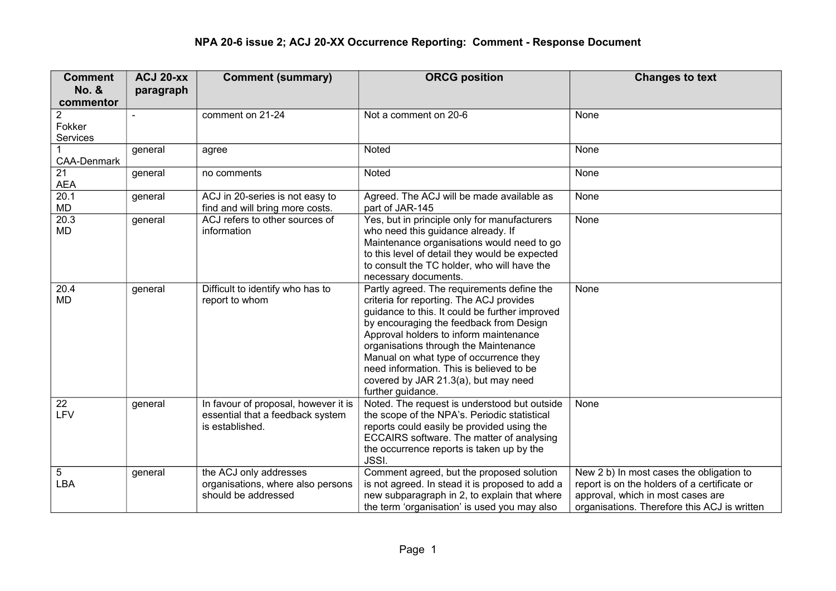| <b>Comment</b>     | <b>ACJ 20-XX</b> | <b>Comment (summary)</b>                                                                    | <b>ORCG position</b>                                                                                                                                                                                                                                                                                                                                                                                                      | <b>Changes to text</b>                                                                                                                                                        |
|--------------------|------------------|---------------------------------------------------------------------------------------------|---------------------------------------------------------------------------------------------------------------------------------------------------------------------------------------------------------------------------------------------------------------------------------------------------------------------------------------------------------------------------------------------------------------------------|-------------------------------------------------------------------------------------------------------------------------------------------------------------------------------|
| <b>No. &amp;</b>   | paragraph        |                                                                                             |                                                                                                                                                                                                                                                                                                                                                                                                                           |                                                                                                                                                                               |
| commentor          |                  |                                                                                             |                                                                                                                                                                                                                                                                                                                                                                                                                           |                                                                                                                                                                               |
| 2                  |                  | comment on 21-24                                                                            | Not a comment on 20-6                                                                                                                                                                                                                                                                                                                                                                                                     | None                                                                                                                                                                          |
| Fokker             |                  |                                                                                             |                                                                                                                                                                                                                                                                                                                                                                                                                           |                                                                                                                                                                               |
| Services           |                  |                                                                                             |                                                                                                                                                                                                                                                                                                                                                                                                                           |                                                                                                                                                                               |
| <b>CAA-Denmark</b> | general          | agree                                                                                       | Noted                                                                                                                                                                                                                                                                                                                                                                                                                     | None                                                                                                                                                                          |
| 21<br><b>AEA</b>   | general          | no comments                                                                                 | Noted                                                                                                                                                                                                                                                                                                                                                                                                                     | None                                                                                                                                                                          |
| 20.1<br><b>MD</b>  | general          | ACJ in 20-series is not easy to<br>find and will bring more costs.                          | Agreed. The ACJ will be made available as<br>part of JAR-145                                                                                                                                                                                                                                                                                                                                                              | None                                                                                                                                                                          |
| 20.3<br>MD         | general          | ACJ refers to other sources of<br>information                                               | Yes, but in principle only for manufacturers<br>who need this guidance already. If<br>Maintenance organisations would need to go<br>to this level of detail they would be expected<br>to consult the TC holder, who will have the<br>necessary documents.                                                                                                                                                                 | None                                                                                                                                                                          |
| 20.4<br><b>MD</b>  | general          | Difficult to identify who has to<br>report to whom                                          | Partly agreed. The requirements define the<br>criteria for reporting. The ACJ provides<br>guidance to this. It could be further improved<br>by encouraging the feedback from Design<br>Approval holders to inform maintenance<br>organisations through the Maintenance<br>Manual on what type of occurrence they<br>need information. This is believed to be<br>covered by JAR 21.3(a), but may need<br>further guidance. | None                                                                                                                                                                          |
| 22<br>LFV          | general          | In favour of proposal, however it is<br>essential that a feedback system<br>is established. | Noted. The request is understood but outside<br>the scope of the NPA's. Periodic statistical<br>reports could easily be provided using the<br>ECCAIRS software. The matter of analysing<br>the occurrence reports is taken up by the<br><b>JSSI.</b>                                                                                                                                                                      | None                                                                                                                                                                          |
| 5<br>LBA           | general          | the ACJ only addresses<br>organisations, where also persons<br>should be addressed          | Comment agreed, but the proposed solution<br>is not agreed. In stead it is proposed to add a<br>new subparagraph in 2, to explain that where<br>the term 'organisation' is used you may also                                                                                                                                                                                                                              | New 2 b) In most cases the obligation to<br>report is on the holders of a certificate or<br>approval, which in most cases are<br>organisations. Therefore this ACJ is written |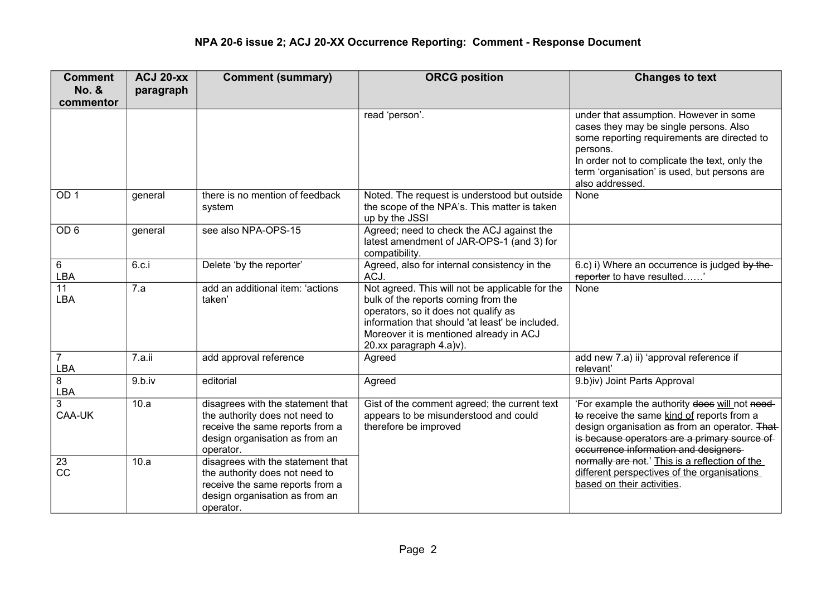| <b>Comment</b>        | <b>ACJ 20-xx</b> | <b>Comment (summary)</b>                                                                                                                              | <b>ORCG position</b>                                                                                                                                                                                                                                    | <b>Changes to text</b>                                                                                                                                                                                                                                          |
|-----------------------|------------------|-------------------------------------------------------------------------------------------------------------------------------------------------------|---------------------------------------------------------------------------------------------------------------------------------------------------------------------------------------------------------------------------------------------------------|-----------------------------------------------------------------------------------------------------------------------------------------------------------------------------------------------------------------------------------------------------------------|
| <b>No. &amp;</b>      | paragraph        |                                                                                                                                                       |                                                                                                                                                                                                                                                         |                                                                                                                                                                                                                                                                 |
| commentor             |                  |                                                                                                                                                       |                                                                                                                                                                                                                                                         |                                                                                                                                                                                                                                                                 |
|                       |                  |                                                                                                                                                       | read 'person'.                                                                                                                                                                                                                                          | under that assumption. However in some<br>cases they may be single persons. Also<br>some reporting requirements are directed to<br>persons.<br>In order not to complicate the text, only the<br>term 'organisation' is used, but persons are<br>also addressed. |
| OD <sub>1</sub>       | general          | there is no mention of feedback                                                                                                                       | Noted. The request is understood but outside                                                                                                                                                                                                            | None                                                                                                                                                                                                                                                            |
|                       |                  | system                                                                                                                                                | the scope of the NPA's. This matter is taken<br>up by the JSSI                                                                                                                                                                                          |                                                                                                                                                                                                                                                                 |
| OD <sub>6</sub>       | general          | see also NPA-OPS-15                                                                                                                                   | Agreed; need to check the ACJ against the<br>latest amendment of JAR-OPS-1 (and 3) for<br>compatibility.                                                                                                                                                |                                                                                                                                                                                                                                                                 |
| 6<br>LBA              | 6.c.i            | Delete 'by the reporter'                                                                                                                              | Agreed, also for internal consistency in the<br>ACJ.                                                                                                                                                                                                    | 6.c) i) Where an occurrence is judged by the-<br>reporter to have resulted                                                                                                                                                                                      |
| 11<br>LBA             | 7.a              | add an additional item: 'actions<br>taken'                                                                                                            | Not agreed. This will not be applicable for the<br>bulk of the reports coming from the<br>operators, so it does not qualify as<br>information that should 'at least' be included.<br>Moreover it is mentioned already in ACJ<br>20.xx paragraph 4.a)v). | None                                                                                                                                                                                                                                                            |
| $\overline{7}$<br>LBA | 7.a.ii           | add approval reference                                                                                                                                | Agreed                                                                                                                                                                                                                                                  | add new 7.a) ii) 'approval reference if<br>relevant'                                                                                                                                                                                                            |
| 8<br>LBA              | 9.b.iv           | editorial                                                                                                                                             | Agreed                                                                                                                                                                                                                                                  | 9.b)iv) Joint Parts Approval                                                                                                                                                                                                                                    |
| 3<br>CAA-UK           | 10.a             | disagrees with the statement that<br>the authority does not need to<br>receive the same reports from a<br>design organisation as from an<br>operator. | Gist of the comment agreed; the current text<br>appears to be misunderstood and could<br>therefore be improved                                                                                                                                          | 'For example the authority does will not need-<br>to receive the same kind of reports from a<br>design organisation as from an operator. That-<br>is because operators are a primary source of<br>occurrence information and designers                          |
| 23<br>CC              | 10.a             | disagrees with the statement that<br>the authority does not need to<br>receive the same reports from a<br>design organisation as from an<br>operator. |                                                                                                                                                                                                                                                         | normally are not.' This is a reflection of the<br>different perspectives of the organisations<br>based on their activities.                                                                                                                                     |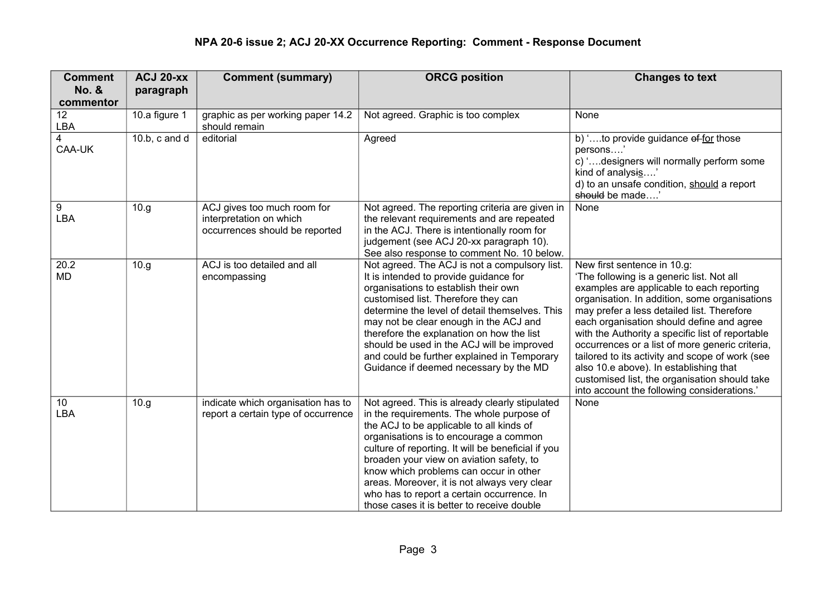## **NPA 20-6 issue 2; ACJ 20-XX Occurrence Reporting: Comment - Response Document**

| <b>Comment</b>         | <b>ACJ 20-xx</b>  | <b>Comment (summary)</b>                                                                 | <b>ORCG position</b>                                                                                                                                                                                                                                                                                                                                                                                                                                                      | <b>Changes to text</b>                                                                                                                                                                                                                                                                                                                                                                                                                                                                                                                                                |
|------------------------|-------------------|------------------------------------------------------------------------------------------|---------------------------------------------------------------------------------------------------------------------------------------------------------------------------------------------------------------------------------------------------------------------------------------------------------------------------------------------------------------------------------------------------------------------------------------------------------------------------|-----------------------------------------------------------------------------------------------------------------------------------------------------------------------------------------------------------------------------------------------------------------------------------------------------------------------------------------------------------------------------------------------------------------------------------------------------------------------------------------------------------------------------------------------------------------------|
| No. &                  | paragraph         |                                                                                          |                                                                                                                                                                                                                                                                                                                                                                                                                                                                           |                                                                                                                                                                                                                                                                                                                                                                                                                                                                                                                                                                       |
| commentor<br>12        | 10.a figure 1     | graphic as per working paper 14.2                                                        | Not agreed. Graphic is too complex                                                                                                                                                                                                                                                                                                                                                                                                                                        | None                                                                                                                                                                                                                                                                                                                                                                                                                                                                                                                                                                  |
| <b>LBA</b>             |                   | should remain                                                                            |                                                                                                                                                                                                                                                                                                                                                                                                                                                                           |                                                                                                                                                                                                                                                                                                                                                                                                                                                                                                                                                                       |
| 4<br>CAA-UK            | 10.b, $c$ and $d$ | editorial                                                                                | Agreed                                                                                                                                                                                                                                                                                                                                                                                                                                                                    | b) 'to provide guidance of for those<br>persons'<br>c) 'designers will normally perform some<br>kind of analysis'<br>d) to an unsafe condition, should a report<br>should be made'                                                                                                                                                                                                                                                                                                                                                                                    |
| 9<br>LBA               | 10.g.             | ACJ gives too much room for<br>interpretation on which<br>occurrences should be reported | Not agreed. The reporting criteria are given in<br>the relevant requirements and are repeated<br>in the ACJ. There is intentionally room for<br>judgement (see ACJ 20-xx paragraph 10).<br>See also response to comment No. 10 below.                                                                                                                                                                                                                                     | None                                                                                                                                                                                                                                                                                                                                                                                                                                                                                                                                                                  |
| 20.2<br><b>MD</b>      | 10.g              | ACJ is too detailed and all<br>encompassing                                              | Not agreed. The ACJ is not a compulsory list.<br>It is intended to provide guidance for<br>organisations to establish their own<br>customised list. Therefore they can<br>determine the level of detail themselves. This<br>may not be clear enough in the ACJ and<br>therefore the explanation on how the list<br>should be used in the ACJ will be improved<br>and could be further explained in Temporary<br>Guidance if deemed necessary by the MD                    | New first sentence in 10.g:<br>'The following is a generic list. Not all<br>examples are applicable to each reporting<br>organisation. In addition, some organisations<br>may prefer a less detailed list. Therefore<br>each organisation should define and agree<br>with the Authority a specific list of reportable<br>occurrences or a list of more generic criteria,<br>tailored to its activity and scope of work (see<br>also 10.e above). In establishing that<br>customised list, the organisation should take<br>into account the following considerations.' |
| 10 <sup>°</sup><br>LBA | 10.g              | indicate which organisation has to<br>report a certain type of occurrence                | Not agreed. This is already clearly stipulated<br>in the requirements. The whole purpose of<br>the ACJ to be applicable to all kinds of<br>organisations is to encourage a common<br>culture of reporting. It will be beneficial if you<br>broaden your view on aviation safety, to<br>know which problems can occur in other<br>areas. Moreover, it is not always very clear<br>who has to report a certain occurrence. In<br>those cases it is better to receive double | None                                                                                                                                                                                                                                                                                                                                                                                                                                                                                                                                                                  |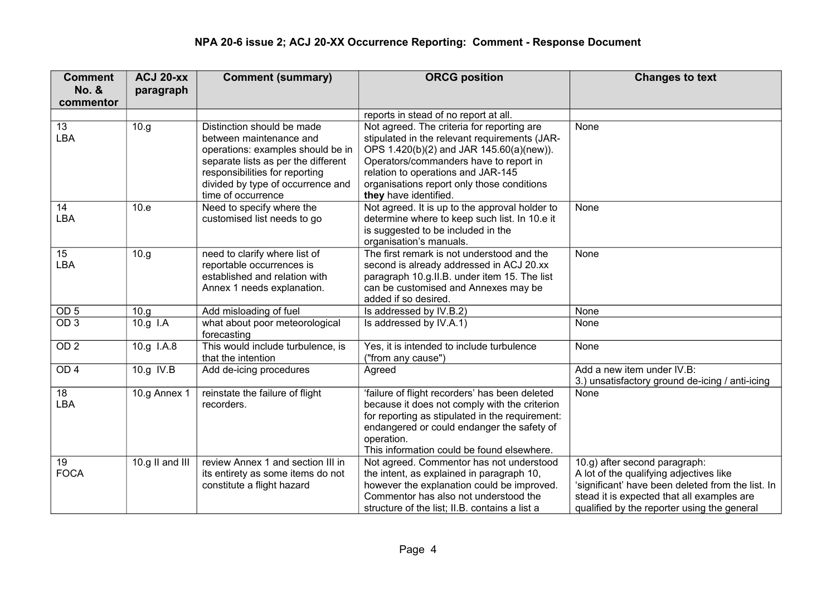## **NPA 20-6 issue 2; ACJ 20-XX Occurrence Reporting: Comment - Response Document**

| <b>Comment</b>   | <b>ACJ 20-XX</b> | <b>Comment (summary)</b>                                 | <b>ORCG position</b>                                                                            | <b>Changes to text</b>                            |
|------------------|------------------|----------------------------------------------------------|-------------------------------------------------------------------------------------------------|---------------------------------------------------|
| <b>No. &amp;</b> | paragraph        |                                                          |                                                                                                 |                                                   |
| commentor        |                  |                                                          |                                                                                                 |                                                   |
|                  |                  |                                                          | reports in stead of no report at all.                                                           |                                                   |
| 13               | 10.g             | Distinction should be made                               | Not agreed. The criteria for reporting are                                                      | None                                              |
| <b>LBA</b>       |                  | between maintenance and                                  | stipulated in the relevant requirements (JAR-                                                   |                                                   |
|                  |                  | operations: examples should be in                        | OPS 1.420(b)(2) and JAR 145.60(a)(new)).                                                        |                                                   |
|                  |                  | separate lists as per the different                      | Operators/commanders have to report in                                                          |                                                   |
|                  |                  | responsibilities for reporting                           | relation to operations and JAR-145                                                              |                                                   |
|                  |                  | divided by type of occurrence and                        | organisations report only those conditions                                                      |                                                   |
| 14               |                  | time of occurrence                                       | they have identified.                                                                           | None                                              |
| LBA              | 10.e             | Need to specify where the<br>customised list needs to go | Not agreed. It is up to the approval holder to<br>determine where to keep such list. In 10.e it |                                                   |
|                  |                  |                                                          | is suggested to be included in the                                                              |                                                   |
|                  |                  |                                                          | organisation's manuals.                                                                         |                                                   |
| 15               | 10.g             | need to clarify where list of                            | The first remark is not understood and the                                                      | None                                              |
| <b>LBA</b>       |                  | reportable occurrences is                                | second is already addressed in ACJ 20.xx                                                        |                                                   |
|                  |                  | established and relation with                            | paragraph 10.g.II.B. under item 15. The list                                                    |                                                   |
|                  |                  | Annex 1 needs explanation.                               | can be customised and Annexes may be                                                            |                                                   |
|                  |                  |                                                          | added if so desired.                                                                            |                                                   |
| OD <sub>5</sub>  | 10.g.            | Add misloading of fuel                                   | Is addressed by IV.B.2)                                                                         | None                                              |
| OD <sub>3</sub>  | 10.g I.A         | what about poor meteorological<br>forecasting            | Is addressed by IV.A.1)                                                                         | None                                              |
| OD <sub>2</sub>  | 10.g I.A.8       | This would include turbulence, is                        | Yes, it is intended to include turbulence                                                       | None                                              |
|                  |                  | that the intention                                       | ("from any cause")                                                                              |                                                   |
| OD <sub>4</sub>  | 10.g IV.B        | Add de-icing procedures                                  | Agreed                                                                                          | Add a new item under IV.B:                        |
|                  |                  |                                                          |                                                                                                 | 3.) unsatisfactory ground de-icing / anti-icing   |
| 18               | 10.g Annex 1     | reinstate the failure of flight                          | 'failure of flight recorders' has been deleted                                                  | None                                              |
| <b>LBA</b>       |                  | recorders.                                               | because it does not comply with the criterion                                                   |                                                   |
|                  |                  |                                                          | for reporting as stipulated in the requirement:                                                 |                                                   |
|                  |                  |                                                          | endangered or could endanger the safety of<br>operation.                                        |                                                   |
|                  |                  |                                                          | This information could be found elsewhere.                                                      |                                                   |
| 19               | 10.g II and III  | review Annex 1 and section III in                        | Not agreed. Commentor has not understood                                                        | 10.g) after second paragraph:                     |
| <b>FOCA</b>      |                  | its entirety as some items do not                        | the intent, as explained in paragraph 10,                                                       | A lot of the qualifying adjectives like           |
|                  |                  | constitute a flight hazard                               | however the explanation could be improved.                                                      | 'significant' have been deleted from the list. In |
|                  |                  |                                                          | Commentor has also not understood the                                                           | stead it is expected that all examples are        |
|                  |                  |                                                          | structure of the list; II.B. contains a list a                                                  | qualified by the reporter using the general       |